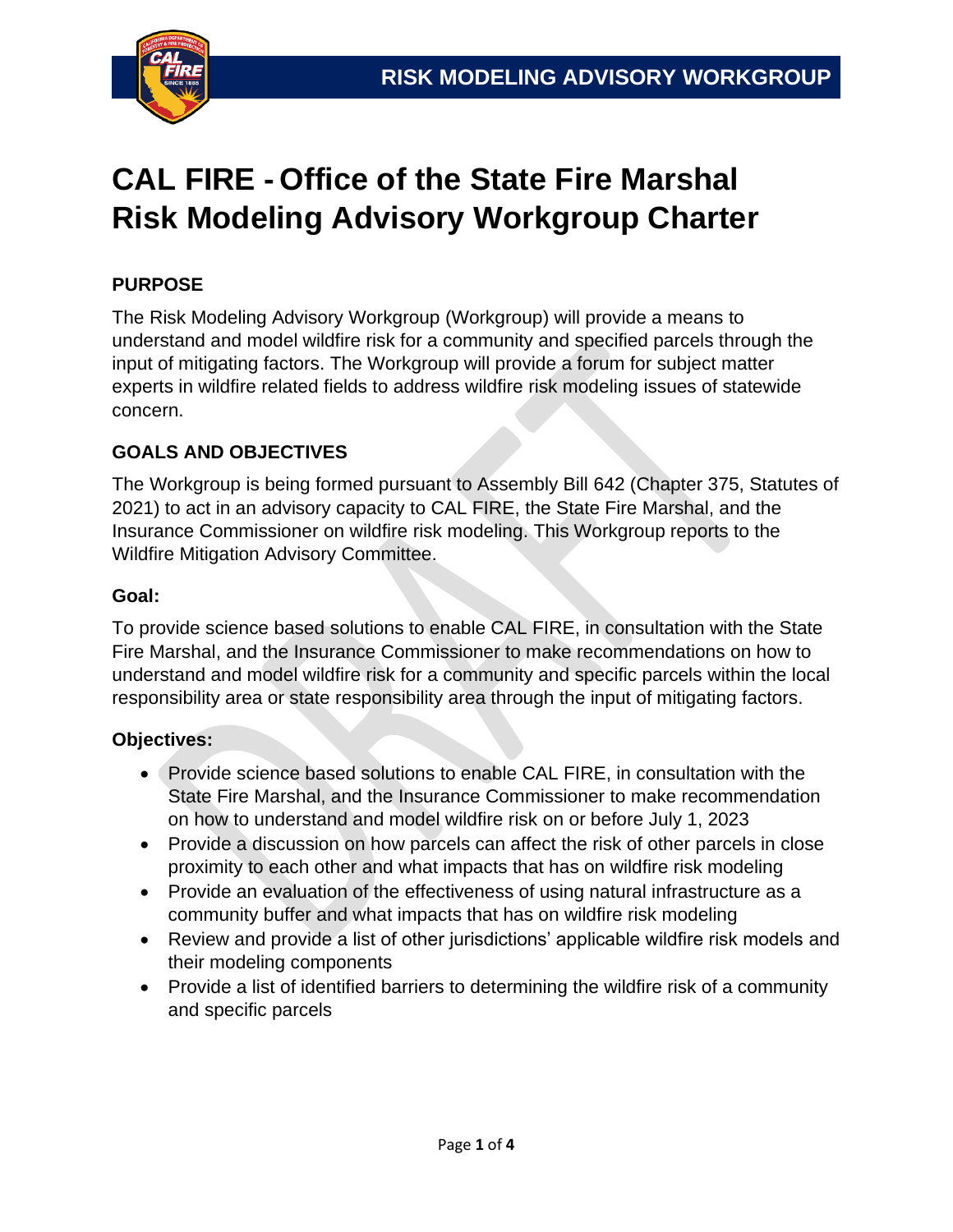

# **CAL FIRE - Office of the State Fire Marshal Risk Modeling Advisory Workgroup Charter**

## **PURPOSE**

The Risk Modeling Advisory Workgroup (Workgroup) will provide a means to understand and model wildfire risk for a community and specified parcels through the input of mitigating factors. The Workgroup will provide a forum for subject matter experts in wildfire related fields to address wildfire risk modeling issues of statewide concern.

## **GOALS AND OBJECTIVES**

The Workgroup is being formed pursuant to Assembly Bill 642 (Chapter 375, Statutes of 2021) to act in an advisory capacity to CAL FIRE, the State Fire Marshal, and the Insurance Commissioner on wildfire risk modeling. This Workgroup reports to the Wildfire Mitigation Advisory Committee.

#### **Goal:**

To provide science based solutions to enable CAL FIRE, in consultation with the State Fire Marshal, and the Insurance Commissioner to make recommendations on how to understand and model wildfire risk for a community and specific parcels within the local responsibility area or state responsibility area through the input of mitigating factors.

#### **Objectives:**

- Provide science based solutions to enable CAL FIRE, in consultation with the State Fire Marshal, and the Insurance Commissioner to make recommendation on how to understand and model wildfire risk on or before July 1, 2023
- Provide a discussion on how parcels can affect the risk of other parcels in close proximity to each other and what impacts that has on wildfire risk modeling
- Provide an evaluation of the effectiveness of using natural infrastructure as a community buffer and what impacts that has on wildfire risk modeling
- Review and provide a list of other jurisdictions' applicable wildfire risk models and their modeling components
- Provide a list of identified barriers to determining the wildfire risk of a community and specific parcels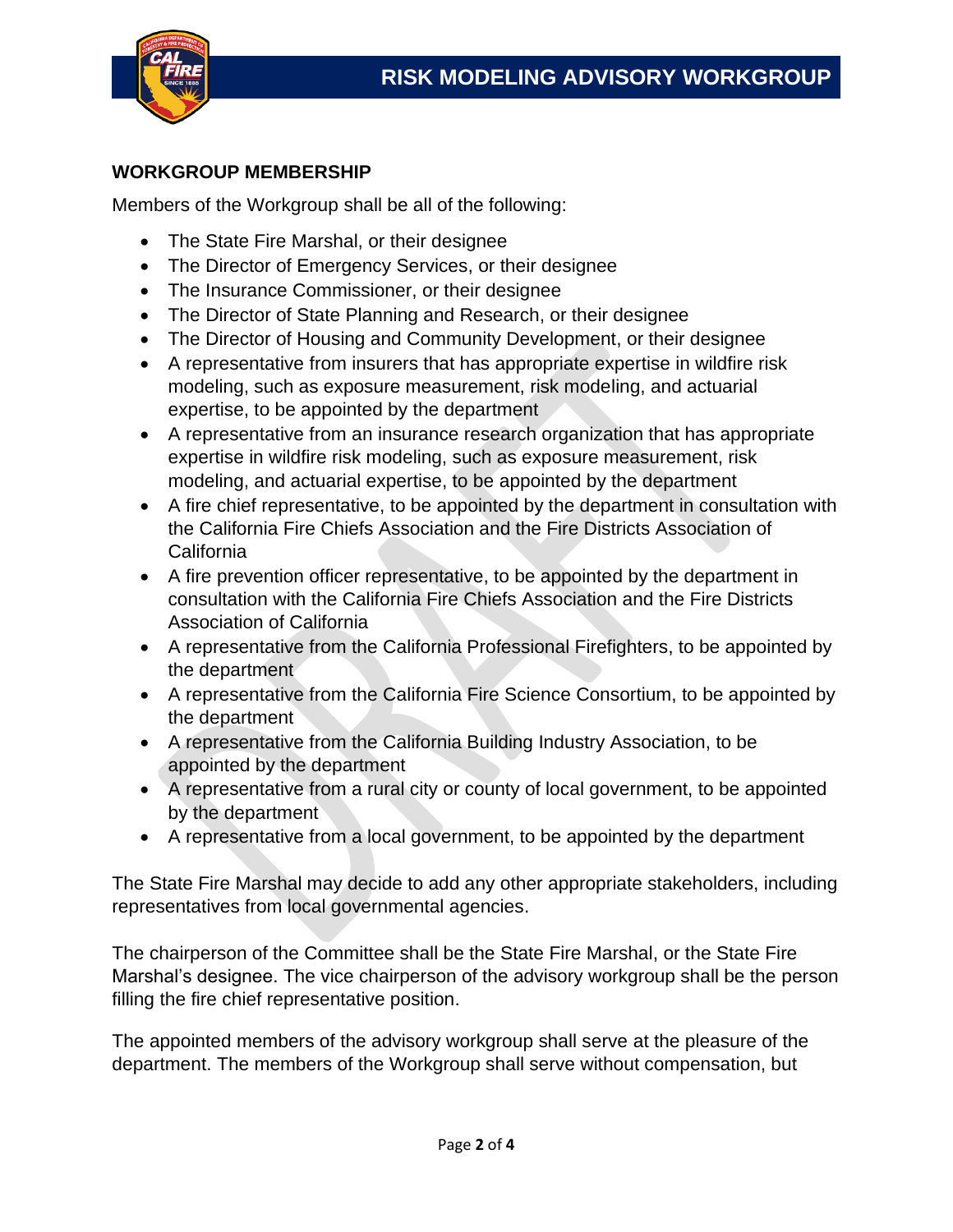

#### **WORKGROUP MEMBERSHIP**

Members of the Workgroup shall be all of the following:

- The State Fire Marshal, or their designee
- The Director of Emergency Services, or their designee
- The Insurance Commissioner, or their designee
- The Director of State Planning and Research, or their designee
- The Director of Housing and Community Development, or their designee
- A representative from insurers that has appropriate expertise in wildfire risk modeling, such as exposure measurement, risk modeling, and actuarial expertise, to be appointed by the department
- A representative from an insurance research organization that has appropriate expertise in wildfire risk modeling, such as exposure measurement, risk modeling, and actuarial expertise, to be appointed by the department
- A fire chief representative, to be appointed by the department in consultation with the California Fire Chiefs Association and the Fire Districts Association of **California**
- A fire prevention officer representative, to be appointed by the department in consultation with the California Fire Chiefs Association and the Fire Districts Association of California
- A representative from the California Professional Firefighters, to be appointed by the department
- A representative from the California Fire Science Consortium, to be appointed by the department
- A representative from the California Building Industry Association, to be appointed by the department
- A representative from a rural city or county of local government, to be appointed by the department
- A representative from a local government, to be appointed by the department

The State Fire Marshal may decide to add any other appropriate stakeholders, including representatives from local governmental agencies.

The chairperson of the Committee shall be the State Fire Marshal, or the State Fire Marshal's designee. The vice chairperson of the advisory workgroup shall be the person filling the fire chief representative position.

The appointed members of the advisory workgroup shall serve at the pleasure of the department. The members of the Workgroup shall serve without compensation, but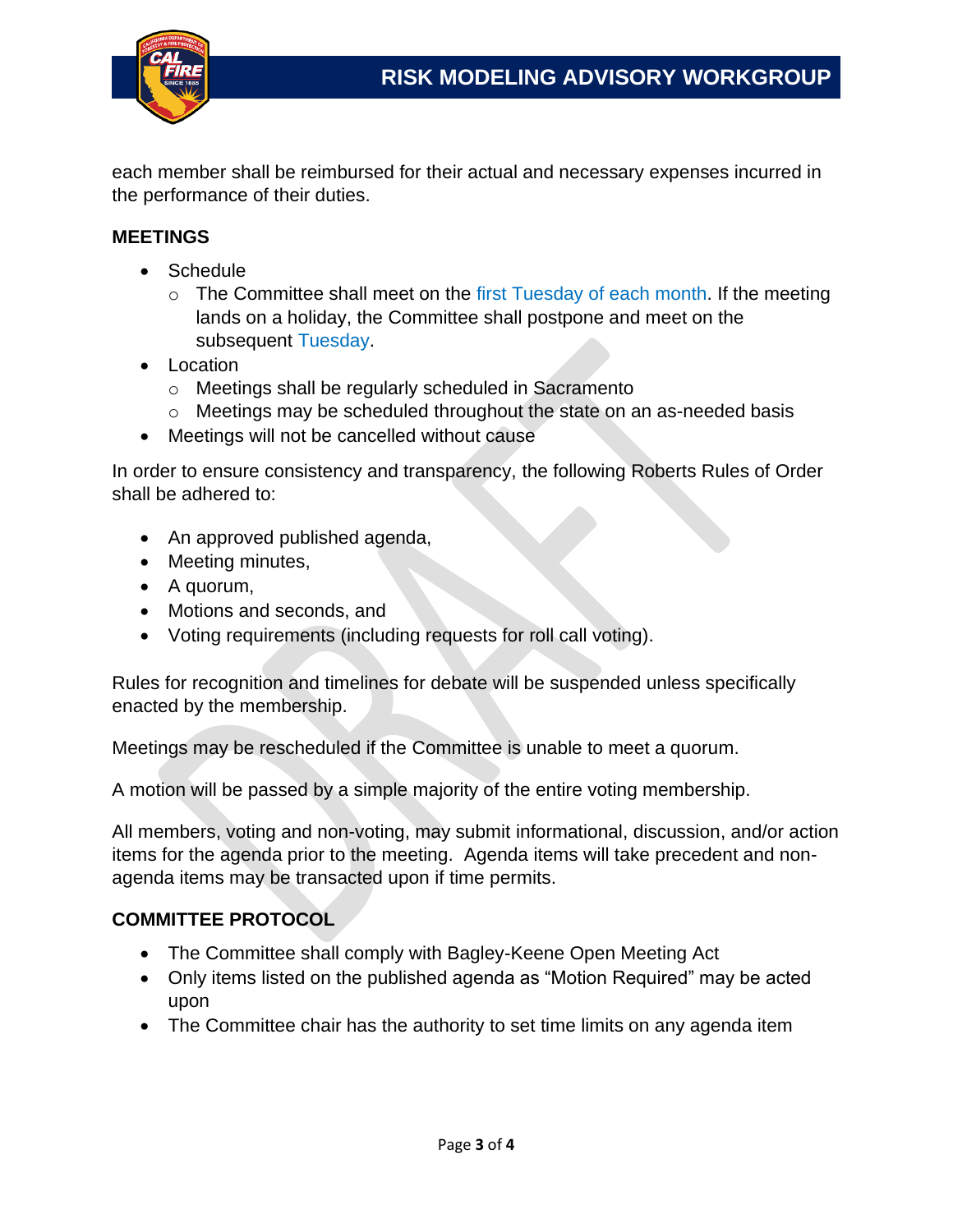

each member shall be reimbursed for their actual and necessary expenses incurred in the performance of their duties.

#### **MEETINGS**

- Schedule
	- $\circ$  The Committee shall meet on the first Tuesday of each month. If the meeting lands on a holiday, the Committee shall postpone and meet on the subsequent Tuesday.
- Location
	- o Meetings shall be regularly scheduled in Sacramento
	- o Meetings may be scheduled throughout the state on an as-needed basis
- Meetings will not be cancelled without cause

In order to ensure consistency and transparency, the following Roberts Rules of Order shall be adhered to:

- An approved published agenda,
- Meeting minutes,
- A quorum,
- Motions and seconds, and
- Voting requirements (including requests for roll call voting).

Rules for recognition and timelines for debate will be suspended unless specifically enacted by the membership.

Meetings may be rescheduled if the Committee is unable to meet a quorum.

A motion will be passed by a simple majority of the entire voting membership.

All members, voting and non-voting, may submit informational, discussion, and/or action items for the agenda prior to the meeting. Agenda items will take precedent and nonagenda items may be transacted upon if time permits.

### **COMMITTEE PROTOCOL**

- The Committee shall comply with Bagley-Keene Open Meeting Act
- Only items listed on the published agenda as "Motion Required" may be acted upon
- The Committee chair has the authority to set time limits on any agenda item